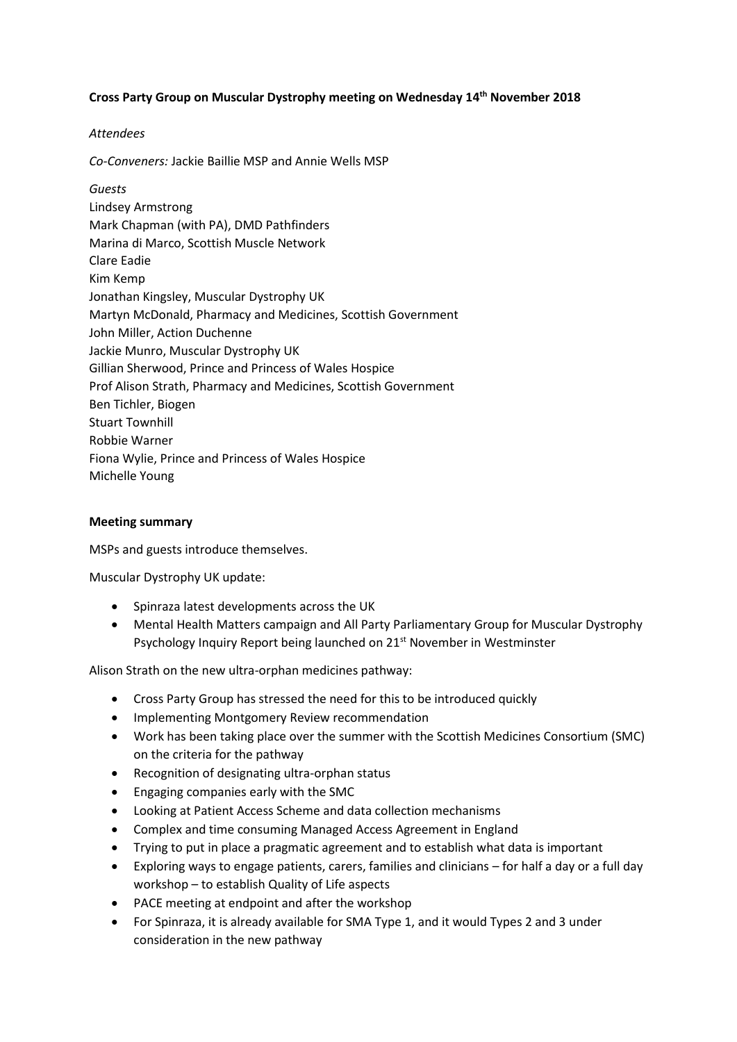## **Cross Party Group on Muscular Dystrophy meeting on Wednesday 14th November 2018**

## *Attendees*

*Co-Conveners:* Jackie Baillie MSP and Annie Wells MSP

*Guests* Lindsey Armstrong Mark Chapman (with PA), DMD Pathfinders Marina di Marco, Scottish Muscle Network Clare Eadie Kim Kemp Jonathan Kingsley, Muscular Dystrophy UK Martyn McDonald, Pharmacy and Medicines, Scottish Government John Miller, Action Duchenne Jackie Munro, Muscular Dystrophy UK Gillian Sherwood, Prince and Princess of Wales Hospice Prof Alison Strath, Pharmacy and Medicines, Scottish Government Ben Tichler, Biogen Stuart Townhill Robbie Warner Fiona Wylie, Prince and Princess of Wales Hospice Michelle Young

## **Meeting summary**

MSPs and guests introduce themselves.

Muscular Dystrophy UK update:

- Spinraza latest developments across the UK
- Mental Health Matters campaign and All Party Parliamentary Group for Muscular Dystrophy Psychology Inquiry Report being launched on 21<sup>st</sup> November in Westminster

Alison Strath on the new ultra-orphan medicines pathway:

- Cross Party Group has stressed the need for this to be introduced quickly
- Implementing Montgomery Review recommendation
- Work has been taking place over the summer with the Scottish Medicines Consortium (SMC) on the criteria for the pathway
- Recognition of designating ultra-orphan status
- Engaging companies early with the SMC
- Looking at Patient Access Scheme and data collection mechanisms
- Complex and time consuming Managed Access Agreement in England
- Trying to put in place a pragmatic agreement and to establish what data is important
- Exploring ways to engage patients, carers, families and clinicians for half a day or a full day workshop – to establish Quality of Life aspects
- PACE meeting at endpoint and after the workshop
- For Spinraza, it is already available for SMA Type 1, and it would Types 2 and 3 under consideration in the new pathway